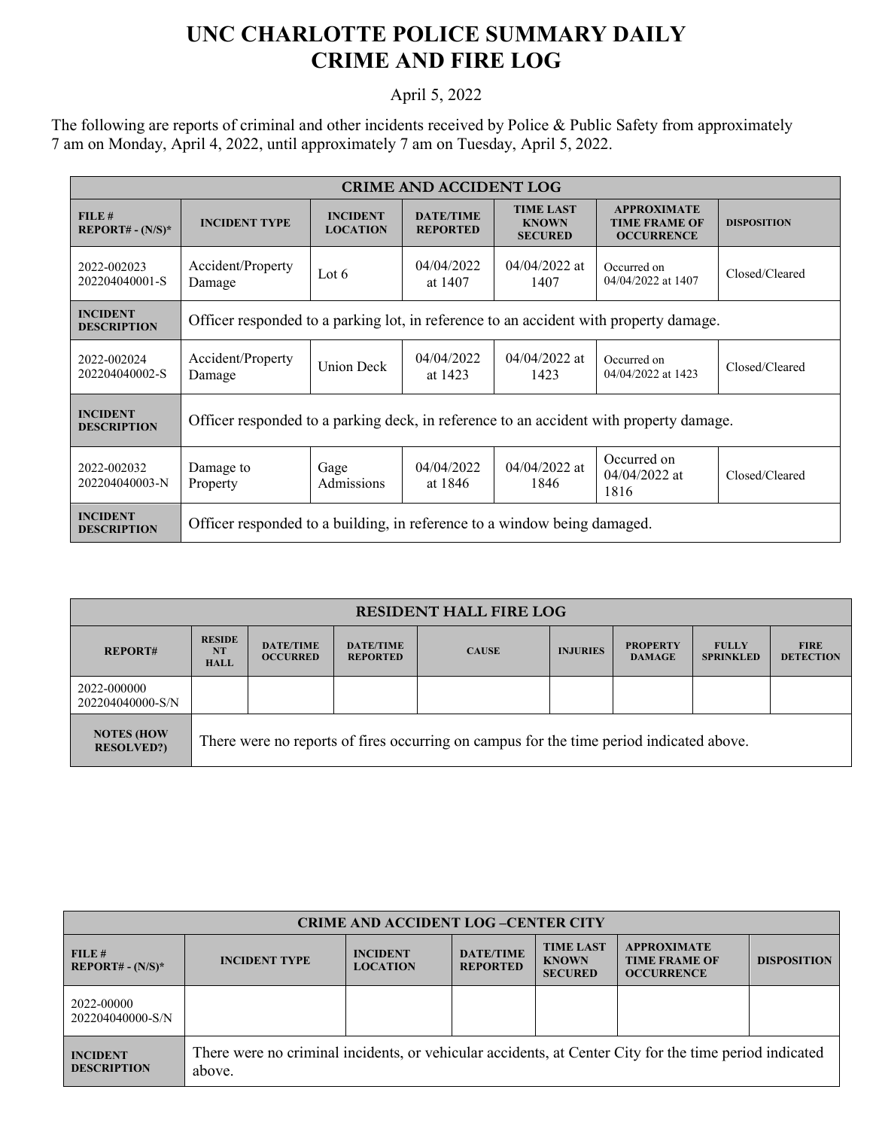## **UNC CHARLOTTE POLICE SUMMARY DAILY CRIME AND FIRE LOG**

## April 5, 2022

The following are reports of criminal and other incidents received by Police & Public Safety from approximately 7 am on Monday, April 4, 2022, until approximately 7 am on Tuesday, April 5, 2022.

| <b>CRIME AND ACCIDENT LOG</b>         |                                                                                        |                                    |                                     |                                                    |                                                                 |                    |  |
|---------------------------------------|----------------------------------------------------------------------------------------|------------------------------------|-------------------------------------|----------------------------------------------------|-----------------------------------------------------------------|--------------------|--|
| FILE#<br>$REPORT# - (N/S)*$           | <b>INCIDENT TYPE</b>                                                                   | <b>INCIDENT</b><br><b>LOCATION</b> | <b>DATE/TIME</b><br><b>REPORTED</b> | <b>TIME LAST</b><br><b>KNOWN</b><br><b>SECURED</b> | <b>APPROXIMATE</b><br><b>TIME FRAME OF</b><br><b>OCCURRENCE</b> | <b>DISPOSITION</b> |  |
| 2022-002023<br>202204040001-S         | Accident/Property<br>Damage                                                            | Lot $6$                            | 04/04/2022<br>at 1407               | $04/04/2022$ at<br>1407                            | Occurred on<br>04/04/2022 at 1407                               | Closed/Cleared     |  |
| <b>INCIDENT</b><br><b>DESCRIPTION</b> | Officer responded to a parking lot, in reference to an accident with property damage.  |                                    |                                     |                                                    |                                                                 |                    |  |
| 2022-002024<br>202204040002-S         | Accident/Property<br>Damage                                                            | <b>Union Deck</b>                  | 04/04/2022<br>at 1423               | $04/04/2022$ at<br>1423                            | Occurred on<br>04/04/2022 at 1423                               | Closed/Cleared     |  |
| <b>INCIDENT</b><br><b>DESCRIPTION</b> | Officer responded to a parking deck, in reference to an accident with property damage. |                                    |                                     |                                                    |                                                                 |                    |  |
| 2022-002032<br>202204040003-N         | Damage to<br>Property                                                                  | Gage<br>Admissions                 | 04/04/2022<br>at 1846               | $04/04/2022$ at<br>1846                            | Occurred on<br>04/04/2022 at<br>1816                            | Closed/Cleared     |  |
| <b>INCIDENT</b><br><b>DESCRIPTION</b> | Officer responded to a building, in reference to a window being damaged.               |                                    |                                     |                                                    |                                                                 |                    |  |

| <b>RESIDENT HALL FIRE LOG</b>         |                                                                                         |                                     |                                     |              |                 |                                  |                                  |                                 |
|---------------------------------------|-----------------------------------------------------------------------------------------|-------------------------------------|-------------------------------------|--------------|-----------------|----------------------------------|----------------------------------|---------------------------------|
| <b>REPORT#</b>                        | <b>RESIDE</b><br><b>NT</b><br><b>HALL</b>                                               | <b>DATE/TIME</b><br><b>OCCURRED</b> | <b>DATE/TIME</b><br><b>REPORTED</b> | <b>CAUSE</b> | <b>INJURIES</b> | <b>PROPERTY</b><br><b>DAMAGE</b> | <b>FULLY</b><br><b>SPRINKLED</b> | <b>FIRE</b><br><b>DETECTION</b> |
| 2022-000000<br>202204040000-S/N       |                                                                                         |                                     |                                     |              |                 |                                  |                                  |                                 |
| <b>NOTES (HOW</b><br><b>RESOLVED?</b> | There were no reports of fires occurring on campus for the time period indicated above. |                                     |                                     |              |                 |                                  |                                  |                                 |

| <b>CRIME AND ACCIDENT LOG-CENTER CITY</b> |                                                                                                                  |                                    |                                     |                                                    |                                                                 |                    |  |
|-------------------------------------------|------------------------------------------------------------------------------------------------------------------|------------------------------------|-------------------------------------|----------------------------------------------------|-----------------------------------------------------------------|--------------------|--|
| FILE#<br><b>REPORT#</b> - $(N/S)^*$       | <b>INCIDENT TYPE</b>                                                                                             | <b>INCIDENT</b><br><b>LOCATION</b> | <b>DATE/TIME</b><br><b>REPORTED</b> | <b>TIME LAST</b><br><b>KNOWN</b><br><b>SECURED</b> | <b>APPROXIMATE</b><br><b>TIME FRAME OF</b><br><b>OCCURRENCE</b> | <b>DISPOSITION</b> |  |
| 2022-00000<br>202204040000-S/N            |                                                                                                                  |                                    |                                     |                                                    |                                                                 |                    |  |
| <b>INCIDENT</b><br><b>DESCRIPTION</b>     | There were no criminal incidents, or vehicular accidents, at Center City for the time period indicated<br>above. |                                    |                                     |                                                    |                                                                 |                    |  |